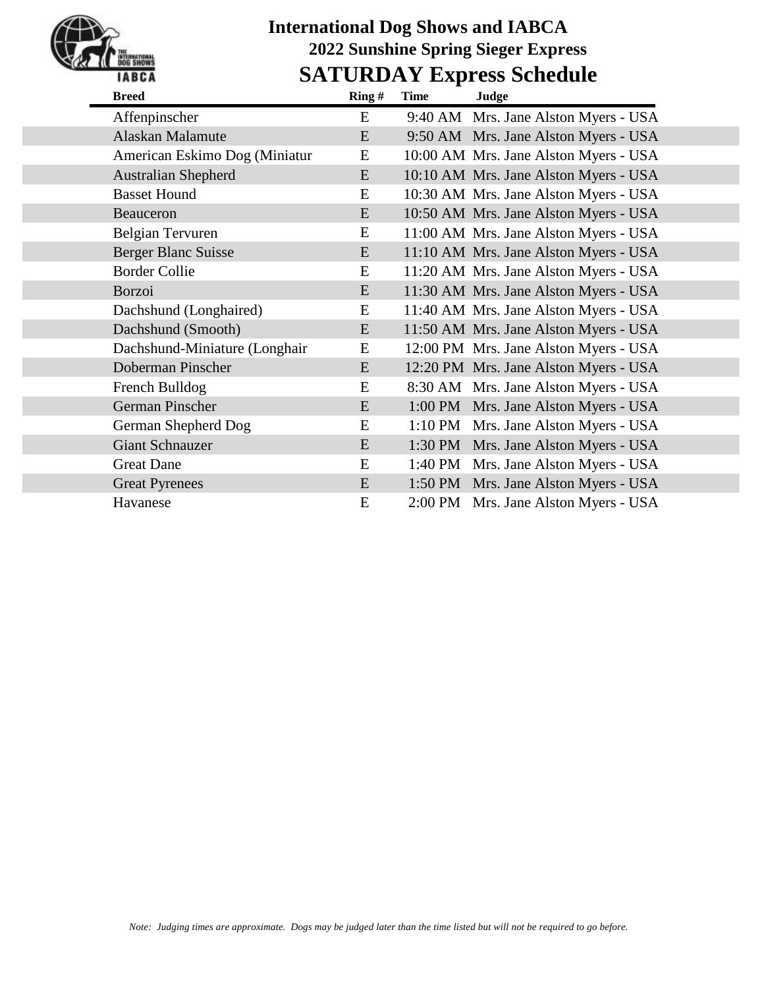## **International Dog Shows and IABCA 2022 Sunshine Spring Sieger Express SATURDAY Express Schedule**

| Ring # | Time |
|--------|------|

| <b>Breed</b>                  | Ring $#$ | Time<br>Judge                         |  |
|-------------------------------|----------|---------------------------------------|--|
| Affenpinscher                 | E        | 9:40 AM Mrs. Jane Alston Myers - USA  |  |
| Alaskan Malamute              | E        | 9:50 AM Mrs. Jane Alston Myers - USA  |  |
| American Eskimo Dog (Miniatur | E        | 10:00 AM Mrs. Jane Alston Myers - USA |  |
| <b>Australian Shepherd</b>    | E        | 10:10 AM Mrs. Jane Alston Myers - USA |  |
| <b>Basset Hound</b>           | E        | 10:30 AM Mrs. Jane Alston Myers - USA |  |
| <b>Beauceron</b>              | E        | 10:50 AM Mrs. Jane Alston Myers - USA |  |
| Belgian Tervuren              | E        | 11:00 AM Mrs. Jane Alston Myers - USA |  |
| <b>Berger Blanc Suisse</b>    | E        | 11:10 AM Mrs. Jane Alston Myers - USA |  |
| <b>Border Collie</b>          | E        | 11:20 AM Mrs. Jane Alston Myers - USA |  |
| Borzoi                        | E        | 11:30 AM Mrs. Jane Alston Myers - USA |  |
| Dachshund (Longhaired)        | E        | 11:40 AM Mrs. Jane Alston Myers - USA |  |
| Dachshund (Smooth)            | E        | 11:50 AM Mrs. Jane Alston Myers - USA |  |
| Dachshund-Miniature (Longhair | E        | 12:00 PM Mrs. Jane Alston Myers - USA |  |
| Doberman Pinscher             | E        | 12:20 PM Mrs. Jane Alston Myers - USA |  |
| French Bulldog                | E        | 8:30 AM Mrs. Jane Alston Myers - USA  |  |
| German Pinscher               | E        | 1:00 PM Mrs. Jane Alston Myers - USA  |  |
| German Shepherd Dog           | E        | 1:10 PM Mrs. Jane Alston Myers - USA  |  |
| <b>Giant Schnauzer</b>        | E        | 1:30 PM Mrs. Jane Alston Myers - USA  |  |
| <b>Great Dane</b>             | E        | 1:40 PM Mrs. Jane Alston Myers - USA  |  |
| <b>Great Pyrenees</b>         | E        | 1:50 PM Mrs. Jane Alston Myers - USA  |  |
| Havanese                      | E        | 2:00 PM Mrs. Jane Alston Myers - USA  |  |